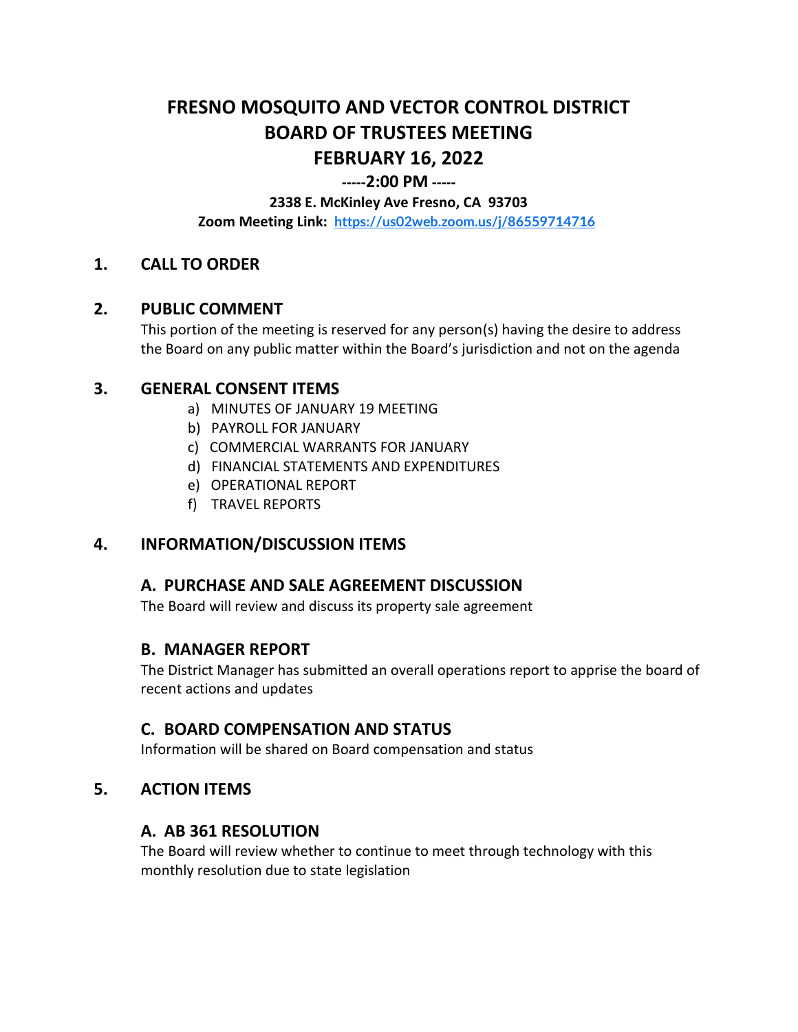# **FRESNO MOSQUITO AND VECTOR CONTROL DISTRICT BOARD OF TRUSTEES MEETING FEBRUARY 16, 2022**

#### **-----2:00 PM -----**

#### **2338 E. McKinley Ave Fresno, CA 93703**

**Zoom Meeting Link: <https://us02web.zoom.us/j/86559714716>**

# **1. CALL TO ORDER**

#### **2. PUBLIC COMMENT**

This portion of the meeting is reserved for any person(s) having the desire to address the Board on any public matter within the Board's jurisdiction and not on the agenda

#### **3. GENERAL CONSENT ITEMS**

- a) MINUTES OF JANUARY 19 MEETING
- b) PAYROLL FOR JANUARY
- c) COMMERCIAL WARRANTS FOR JANUARY
- d) FINANCIAL STATEMENTS AND EXPENDITURES
- e) OPERATIONAL REPORT
- f) TRAVEL REPORTS

# **4. INFORMATION/DISCUSSION ITEMS**

# **A. PURCHASE AND SALE AGREEMENT DISCUSSION**

The Board will review and discuss its property sale agreement

# **B. MANAGER REPORT**

The District Manager has submitted an overall operations report to apprise the board of recent actions and updates

# **C. BOARD COMPENSATION AND STATUS**

Information will be shared on Board compensation and status

# **5. ACTION ITEMS**

# **A. AB 361 RESOLUTION**

The Board will review whether to continue to meet through technology with this monthly resolution due to state legislation